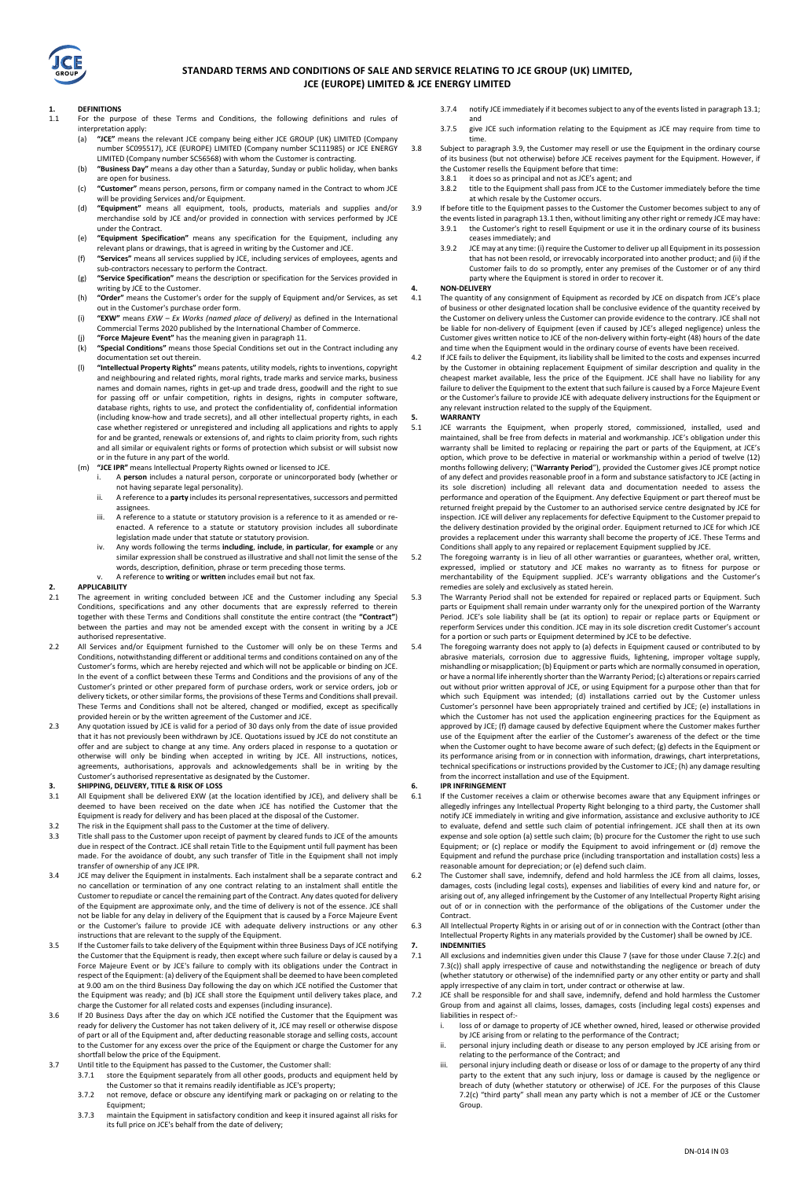

#### **STANDARD TERMS AND CONDITIONS OF SALE AND SERVICE RELATING TO JCE GROUP (UK) LIMITED, JCE (EUROPE) LIMITED & JCE ENERGY LIMITED**

#### **1. DEFINITIONS**

- 111 111 Form the purpose of these Terms and Conditions, the following definitions and rules of interpretation apply: (a) **"JCE"** means the relevant JCE company being either JCE GROUP (UK) LIMITED (Company
	- number SC095517), JCE (EUROPE) LIMITED (Company number SC111985) or JCE ENERGY LIMITED (Company number SC56568) with whom the Customer is contracting.
	- (b) **"Business Day"** means a day other than a Saturday, Sunday or public holiday, when banks are open for business. (c) **"Customer"** means person, persons, firm or company named in the Contract to whom JCE
	- will be providing Services and/or Equipment. (d) **"Equipment"** means all equipment, tools, products, materials and supplies and/or
	- merchandise sold by JCE and/or provided in connection with services performed by JCE under the Contract.
	- (e) **"Equipment Specification"** means any specification for the Equipment, including any relevant plans or drawings, that is agreed in writing by the Customer and JCE.
	- (f) **"Services"** means all services supplied by JCE, including services of employees, agents and sub-contractors necessary to perform the Contract.
	- (g) **"Service Specification"** means the description or specification for the Services provided in writing by JCE to the Customer.
	- (h) **"Order"** means the Customer's order for the supply of Equipment and/or Services, as set out in the Customer's purchase order form.
	- (i) **"EXW"** means *EXW – Ex Works (named place of delivery)* as defined in the International
	- Commercial Terms 2020 published by the International Chamber of Commerce. (j) **"Force Majeure Event"** has the meaning given in paragraph 11.
	- (k) **"Special Conditions"** means those Special Conditions set out in the Contract including any documentation set out therein.
	- (l) **"Intellectual Property Rights"** means patents, utility models, rights to inventions, copyright and neighbouring and related rights, moral rights, trade marks and service marks, business names and domain names, rights in get-up and trade dress, goodwill and the right to sue for passing off or unfair competition, rights in designs, rights in computer software, database rights, rights to use, and protect the confidentiality of, confidential information (including know-how and trade secrets), and all other intellectual property rights, in each case whether registered or unregistered and including all applications and rights to apply for and be granted, renewals or extensions of, and rights to claim priority from, such rights and all similar or equivalent rights or forms of protection which subsist or will subsist now or in the future in any part of the world.
	- (m) **"JCE IPR"** means Intellectual Property Rights owned or licensed to JCE.
		- i. A **person** includes a natural person, corporate or unincorporated body (whether or not having separate legal personality).
		- ii. A reference to a **party** includes its personal representatives, successors and permitted assignees.
		- iii. A reference to a statute or statutory provision is a reference to it as amended or reenacted. A reference to a statute or statutory provision includes all subordinate
		- legislation made under that statute or statutory provision. iv. Any words following the terms **including**, **include**, **in particular**, **for example** or any similar expression shall be construed as illustrative and shall not limit the sense of the words, description, definition, phrase or term preceding those terms. v. A reference to **writing** or **written** includes email but not fax.

- **2. APPLICABILITY**  The agreement in writing concluded between JCE and the Customer including any Special Conditions, specifications and any other documents that are expressly referred to therein together with these Terms and Conditions shall constitute the entire contract (the **"Contract"**) between the parties and may not be amended except with the consent in writing by a JCE authorised representative.
- 2.2 All Services and/or Equipment furnished to the Customer will only be on these Terms and Conditions, notwithstanding different or additional terms and conditions contained on any of the Customer's forms, which are hereby rejected and which will not be applicable or binding on JCE. In the event of a conflict between these Terms and Conditions and the provisions of any of the Customer's printed or other prepared form of purchase orders, work or service orders, job or delivery tickets, or other similar forms, the provisions of these Terms and Conditions shall prevail. These Terms and Conditions shall not be altered, changed or modified, except as specifically provided herein or by the written agreement of the Customer and JCE.
- 2.3 Any quotation issued by JCE is valid for a period of 30 days only from the date of issue provided that it has not previously been withdrawn by JCE. Quotations issued by JCE do not constitute an offer and are subject to change at any time. Any orders placed in response to a quotation or otherwise will only be binding when accepted in writing by JCE. All instructions, notices, agreements, authorisations, approvals and acknowledgements shall be in writing by the Customer's authorised representative as designated by the Customer.

## **3. SHIPPING, DELIVERY, TITLE & RISK OF LOSS**<br>**3.1** All Equipment shall be delivered EXW (at t

- All Equipment shall be delivered EXW (at the location identified by JCE), and delivery shall be deemed to have been received on the date when JCE has notified the Customer that the Equipment is ready for delivery and has been placed at the disposal of the Customer.
- 3.2 The risk in the Equipment shall pass to the Customer at the time of delivery.<br>3.3 Title shall pass to the Customer upon receipt of payment by cleared funds to 3.3 Title shall pass to the Customer upon receipt of payment by cleared funds to JCE of the amounts due in respect of the Contract. JCE shall retain Title to the Equipment until full payment has been made. For the avoidance of doubt, any such transfer of Title in the Equipment shall not imply transfer of ownership of any JCE IPR.
- 3.4 JCE may deliver the Equipment in instalments. Each instalment shall be a separate contract and no cancellation or termination of any one contract relating to an instalment shall entitle the Customer to repudiate or cancel the remaining part of the Contract. Any dates quoted for delivery of the Equipment are approximate only, and the time of delivery is not of the essence. JCE shall not be liable for any delay in delivery of the Equipment that is caused by a Force Majeure Event or the Customer's failure to provide JCE with adequate delivery instructions or any other instructions that are relevant to the supply of the Equipment.
- 3.5 If the Customer fails to take delivery of the Equipment within three Business Days of JCE notifying the Customer that the Equipment is ready, then except where such failure or delay is caused by a Force Majeure Event or by JCE's failure to comply with its obligations under the Contract in respect of the Equipment: (a) delivery of the Equipment shall be deemed to have been completed at 9.00 am on the third Business Day following the day on which JCE notified the Customer that the Equipment was ready; and (b) JCE shall store the Equipment until delivery takes place, and charge the Customer for all related costs and expenses (including insurance).
- 3.6 If 20 Business Days after the day on which JCE notified the Customer that the Equipment was ready for delivery the Customer has not taken delivery of it, JCE may resell or otherwise dispose of part or all of the Equipment and, after deducting reasonable storage and selling costs, account to the Customer for any excess over the price of the Equipment or charge the Customer for any shortfall below the price of the Equipment.
- 3.7 Until title to the Equipment has passed to the Customer, the Customer shall:
	- 3.7.1 store the Equipment separately from all other goods, products and equipment held by the Customer so that it remains readily identifiable as JCE's property;
	- 3.7.2 not remove, deface or obscure any identifying mark or packaging on or relating to the Equipment;
	- 3.7.3 maintain the Equipment in satisfactory condition and keep it insured against all risks for its full price on JCE's behalf from the date of delivery;
- 3.7.4 notify JCE immediately if it becomes subject to any of the events listed in paragraph 13.1; and
- 3.7.5 give JCE such information relating to the Equipment as JCE may require from time to time.
- 3.8 Subject to paragraph 3.9, the Customer may resell or use the Equipment in the ordinary course of its business (but not otherwise) before JCE receives payment for the Equipment. However, if the Customer resells the Equipment before that time:
	- 3.8.1 it does so as principal and not as JCE's agent; and
	- 3.8.2 title to the Equipment shall pass from JCE to the Customer immediately before the time at which resale by the Customer occurs.
- 3.9 If before title to the Equipment passes to the Customer the Customer becomes subject to any of the events listed in paragraph 13.1 then, without limiting any other right or remedy JCE may have:
	- 3.9.1 the Customer's right to resell Equipment or use it in the ordinary course of its business
		- ceases immediately; and 3.9.2 JCE may at any time: (i) require the Customer to deliver up all Equipment in its possession that has not been resold, or irrevocably incorporated into another product; and (ii) if the Customer fails to do so promptly, enter any premises of the Customer or of any third party where the Equipment is stored in order to recover it.

# **4. NON-DELIVERY**

- The quantity of any consignment of Equipment as recorded by JCE on dispatch from JCE's place of business or other designated location shall be conclusive evidence of the quantity received by the Customer on delivery unless the Customer can provide evidence to the contrary. JCE shall not be liable for non-delivery of Equipment (even if caused by JCE's alleged negligence) unless the Customer gives written notice to JCE of the non-delivery within forty-eight (48) hours of the date and time when the Equipment would in the ordinary course of events have been received. 4.2 If JCE fails to deliver the Equipment, its liability shall be limited to the costs and expenses incurred
- by the Customer in obtaining replacement Equipment of similar description and quality in the cheapest market available, less the price of the Equipment. JCE shall have no liability for any failure to deliver the Equipment to the extent that such failure is caused by a Force Majeure Event or the Customer's failure to provide JCE with adequate delivery instructions for the Equipment or ay relevant instruction related to the supply of the Equipment.

# **5. WARRANTY**<br>5.1 **JCE** warran

- JCE warrants the Equipment, when properly stored, commissioned, installed, used and maintained, shall be free from defects in material and workmanship. JCE's obligation under this warranty shall be limited to replacing or repairing the part or parts of the Equipment, at JCE's option, which prove to be defective in material or workmanship within a period of twelve (12) months following delivery; ("**Warranty Period**"), provided the Customer gives JCE prompt notice of any defect and provides reasonable proof in a form and substance satisfactory to JCE (acting in its sole discretion) including all relevant data and documentation needed to assess the performance and operation of the Equipment. Any defective Equipment or part thereof must be returned freight prepaid by the Customer to an authorised service centre designated by JCE for inspection. JCE will deliver any replacements for defective Equipment to the Customer prepaid to the delivery destination provided by the original order. Equipment returned to JCE for which JCE provides a replacement under this warranty shall become the property of JCE. These Terms and Conditions shall apply to any repaired or replacement Equipment supplied by JCE.
- 5.2 The foregoing warranty is in lieu of all other warranties or guarantees, whether oral, written, expressed, implied or statutory and JCE makes no warranty as to fitness for purpose or merchantability of the Equipment supplied. JCE's warranty obligations and the Customer's remedies are solely and exclusively as stated herein.
- 5.3 The Warranty Period shall not be extended for repaired or replaced parts or Equipment. Such parts or Equipment shall remain under warranty only for the unexpired portion of the Warranty Period. JCE's sole liability shall be (at its option) to repair or replace parts or Equipment or reperform Services under this condition. JCE may in its sole discretion credit Customer's account for a portion or such parts or Equipment determined by JCE to be defective.
- 5.4 The foregoing warranty does not apply to (a) defects in Equipment caused or contributed to by<br>abrasive materials, corrosion due to aggressive fluids, lightening, improper voltage supply,<br>mishandling or misapplication; or have a normal life inherently shorter than the Warranty Period; (c) alterations or repairs carried out without prior written approval of JCE, or using Equipment for a purpose other than that for which such Equipment was intended; (d) installations carried out by the Customer unless Customer's personnel have been appropriately trained and certified by JCE; (e) installations in which the Customer has not used the application engineering practices for the Equipment as approved by JCE; (f) damage caused by defective Equipment where the Customer makes further use of the Equipment after the earlier of the Customer's awareness of the defect or the time when the Customer ought to have become aware of such defect; (g) defects in the Equipment or its performance arising from or in connection with information, drawings, chart interpretations, technical specifications or instructions provided by the Customer to JCE; (h) any damage resulting from the incorrect installation and use of the Equipment.

## **6. IPR INFRINGEMENT**<br>**6.1 If the Customer rece**

- If the Customer receives a claim or otherwise becomes aware that any Equipment infringes or allegedly infringes any Intellectual Property Right belonging to a third party, the Customer shall notify JCE immediately in writing and give information, assistance and exclusive authority to JCE to evaluate, defend and settle such claim of potential infringement. JCE shall then at its own expense and sole option (a) settle such claim; (b) procure for the Customer the right to use such Equipment; or (c) replace or modify the Equipment to avoid infringement or (d) remove the Equipment and refund the purchase price (including transportation and installation costs) less a reasonable amount for depreciation; or (e) defend such claim.
- 6.2 The Customer shall save, indemnify, defend and hold harmless the JCE from all claims, losses, damages, costs (including legal costs), expenses and liabilities of every kind and nature for, or arising out of, any alleged infringement by the Customer of any Intellectual Property Right arising out of or in connection with the performance of the obligations of the Customer under the Contract.
- 6.3 All Intellectual Property Rights in or arising out of or in connection with the Contract (other than Intellectual Property Rights in any materials provided by the Customer) shall be owned by JCE. **7. INDEMNITIES**

- 7.1 All exclusions and indemnities given under this Clause 7 (save for those under Clause 7.2(c) and 7.3(c)) shall apply irrespective of cause and notwithstanding the negligence or breach of duty (whether statutory or otherwise) of the indemnified party or any other entity or party and shall apply irrespective of any claim in tort, under contract or otherwise at law.
- 7.2 JCE shall be responsible for and shall save, indemnify, defend and hold harmless the Customer Group from and against all claims, losses, damages, costs (including legal costs) expenses and liabilities in respect of:
	- i. loss of or damage to property of JCE whether owned, hired, leased or otherwise provided by JCE arising from or relating to the performance of the Contract; ii. personal injury including death or disease to any person employed by JCE arising from or
	- relating to the performance of the Contract; and
	- personal injury including death or disease or loss of or damage to the property of any third party to the extent that any such injury, loss or damage is caused by the negligence or breach of duty (whether statutory or otherwise) of JCE. For the purposes of this Clause 7.2(c) "third party" shall mean any party which is not a member of JCE or the Customer Group.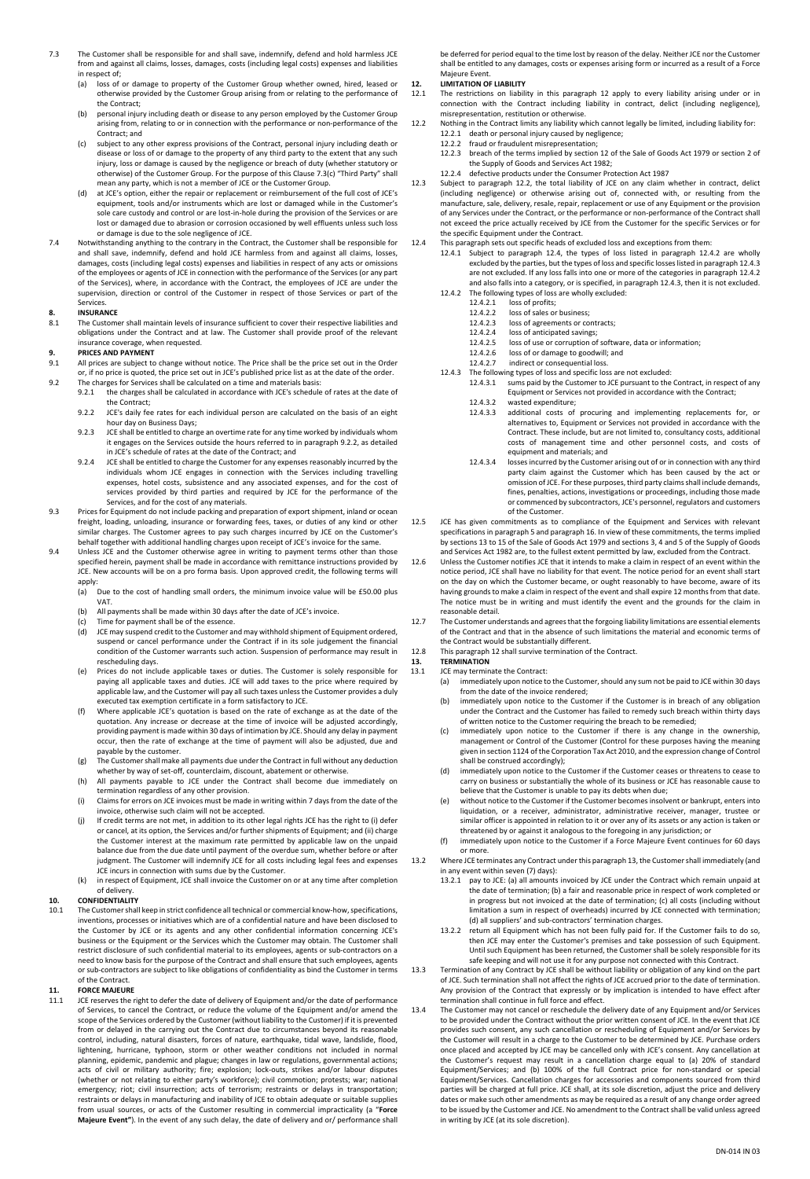- 7.3 The Customer shall be responsible for and shall save, indemnify, defend and hold harmless JCE from and against all claims, losses, damages, costs (including legal costs) expenses and liabilities in respect of;<br>(a) loss of
	- loss of or damage to property of the Customer Group whether owned, hired, leased or otherwise provided by the Customer Group arising from or relating to the performance of the Contract;
	- (b) personal injury including death or disease to any person employed by the Customer Group arising from, relating to or in connection with the performance or non-performance of the Contract; and
	- (c) subject to any other express provisions of the Contract, personal injury including death or disease or loss of or damage to the property of any third party to the extent that any such disease or loss of or damage to the property of any third party to the extent that any such injury, loss or damage is caused by the negligence or breach of duty (whether statutory or otherwise) of the Customer Group. For the purpose of this Clause 7.3(c) "Third Party" shall mean any party, which is not a member of JCE or the Customer Group.
	- (d) at JCE's option, either the repair or replacement or reimbursement of the full cost of JCE's equipment, tools and/or instruments which are lost or damaged while in the Customer's sole care custody and control or are lost-in-hole during the provision of the Services or are lost or damaged due to abrasion or corrosion occasioned by well effluents unless such loss or damage is due to the sole negligence of JCE.
- 7.4 Notwithstanding anything to the contrary in the Contract, the Customer shall be responsible for and shall save, indemnify, defend and hold JCE harmless from and against all claims, losses, damages, costs (including legal costs) expenses and liabilities in respect of any acts or omissions of the employees or agents of JCE in connection with the performance of the Services (or any part of the Services), where, in accordance with the Contract, the employees of JCE are under the supervision, direction or control of the Customer in respect of those Services or part of the Services.

## **8. INSURANCE**

The Customer shall maintain levels of insurance sufficient to cover their respective liabilities and obligations under the Contract and at law. The Customer shall provide proof of the relevant insurance coverage, when requested.

## **9. PRICES AND PAYMENT**<br>**9.1** All prices are subject to

- All prices are subject to change without notice. The Price shall be the price set out in the Order or, if no price is quoted, the price set out in JCE's published price list as at the date of the order.
- 9.2 The charges for Services shall be calculated on a time and materials basis: the charges shall be calculated in accordance with JCE's schedule of rates at the date of
	- the Contract; 9.2.2 JCE's daily fee rates for each individual person are calculated on the basis of an eight
	- hour day on Business Days; 9.2.3 JCE shall be entitled to charge an overtime rate for any time worked by individuals whom it engages on the Services outside the hours referred to in paragraph 9.2.2, as detailed in JCE's schedule of rates at the date of the Contract; and
	- 9.2.4 JCE shall be entitled to charge the Customer for any expenses reasonably incurred by the individuals whom JCE engages in connection with the Services including travelling expenses, hotel costs, subsistence and any associated expenses, and for the cost of services provided by third parties and required by JCE for the performance of the Services, and for the cost of any materials.
- 9.3 Prices for Equipment do not include packing and preparation of export shipment, inland or ocean freight, loading, unloading, insurance or forwarding fees, taxes, or duties of any kind or other similar charges. The Customer agrees to pay such charges incurred by JCE on the Customer's behalf together with additional handling charges upon receipt of JCE's invoice for the same.
- 9.4 Unless JCE and the Customer otherwise agree in writing to payment terms other than those specified herein, payment shall be made in accordance with remittance instructions provided by JCE. New accounts will be on a pro forma basis. Upon approved credit, the following terms will
	- apply:<br>(a) Due to the cost of handling small orders, the minimum invoice value will be £50.00 plus VAT.
	- (b) All payments shall be made within 30 days after the date of JCE's invoice. (c) Time for payment shall be of the essence.
	-
	- (d) JCE may suspend credit to the Customer and may withhold shipment of Equipment ordered, suspend or cancel performance under the Contract if in its sole judgement the financial condition of the Customer warrants such action. Suspension of performance may result in rescheduling days.
	- (e) Prices do not include applicable taxes or duties. The Customer is solely responsible for paying all applicable taxes and duties. JCE will add taxes to the price where required by applicable law, and the Customer will pay all such taxes unless the Customer provides a duly executed tax exemption certificate in a form satisfactory to JCE.
	- (f) Where applicable JCE's quotation is based on the rate of exchange as at the date of the quotation. Any increase or decrease at the time of invoice will be adjusted accordingly, providing payment is made within 30 days of intimation by JCE. Should any delay in payment occur, then the rate of exchange at the time of payment will also be adjusted, due and payable by the customer.
	- (g) The Customer shall make all payments due under the Contract in full without any deduction whether by way of set-off, counterclaim, discount, abatement or otherwise.
	- (h) All payments payable to JCE under the Contract shall become due immediately on termination regardless of any other provision.
	- (i) Claims for errors on JCE invoices must be made in writing within 7 days from the date of the invoice, otherwise such claim will not be accepted.
	- (j) If credit terms are not met, in addition to its other legal rights JCE has the right to (i) defer or cancel, at its option, the Services and/or further shipments of Equipment; and (ii) charge the Customer interest at the maximum rate permitted by applicable law on the unpaid balance due from the due date until payment of the overdue sum, whether before or after judgment. The Customer will indemnify JCE for all costs including legal fees and expenses JCE incurs in connection with sums due by the Customer.
	- (k) in respect of Equipment, JCE shall invoice the Customer on or at any time after completion of delivery.

#### **10. CONFIDENTIALITY**

10.1 The Customer shall keep in strict confidence all technical or commercial know-how, specifications, inventions, processes or initiatives which are of a confidential nature and have been disclosed to the Customer by JCE or its agents and any other confidential information concerning JCE's business or the Equipment or the Services which the Customer may obtain. The Customer shall restrict disclosure of such confidential material to its employees, agents or sub-contractors on a need to know basis for the purpose of the Contract and shall ensure that such employees, agents or sub-contractors are subject to like obligations of confidentiality as bind the Customer in terms of the Contract.

#### **11. FORCE MAJEURE**

11.1 ICE reserves the right to defer the date of delivery of Equipment and/or the date of performance of Services, to cancel the Contract, or reduce the volume of the Equipment and/or amend the scope of the Services ordered by the Customer (without liability to the Customer) if it is prevented from or delayed in the carrying out the Contract due to circumstances beyond its reasonable control, including, natural disasters, forces of nature, earthquake, tidal wave, landslide, flood, lightening, hurricane, typhoon, storm or other weather conditions not included in normal planning, epidemic, pandemic and plague; changes in law or regulations, governmental actions; acts of civil or military authority; fire; explosion; lock-outs, strikes and/or labour disputes (whether or not relating to either party's workforce); civil commotion; protests; war; national emergency; riot; civil insurrection; acts of terrorism; restraints or delays in transportation; restraints or delays in manufacturing and inability of JCE to obtain adequate or suitable supplies from usual sources, or acts of the Customer resulting in commercial impracticality (a "**Force Majeure Event"**). In the event of any such delay, the date of delivery and or/ performance shall

be deferred for period equal to the time lost by reason of the delay. Neither JCE nor the Customer shall be entitled to any damages, costs or expenses arising form or incurred as a result of a Force Majeure Event.

## **12. LIMITATION OF LIABILITY**

- 12.1 The restrictions on liability in this paragraph 12 apply to every liability arising under or in connection with the Contract including liability in contract, delict (including negligence), misrepresentation, restitution or otherwise.
- 12.2 Nothing in the Contract limits any liability which cannot legally be limited, including liability for: 12.2.1 death or personal injury caused by negligence; 12.2.2 fraud or fraudulent misrepresentation;
	- 12.2.3 breach of the terms implied by section 12 of the Sale of Goods Act 1979 or section 2 of the Supply of Goods and Services Act 1982;
	- 12.2.4 defective products under the Consumer Protection Act 1987
- 12.3 Subject to paragraph 12.2, the total liability of JCE on any claim whether in contract, delict (including negligence) or otherwise arising out of, connected with, or resulting from the manufacture, sale, delivery, resale, repair, replacement or use of any Equipment or the provision of any Services under the Contract, or the performance or non-performance of the Contract shall not exceed the price actually received by JCE from the Customer for the specific Services or for the specific Equipment under the Contract.
- 12.4 This paragraph sets out specific heads of excluded loss and exceptions from them:
	- 12.4.1 Subject to paragraph 12.4, the types of loss listed in paragraph 12.4.2 are wholly excluded by the parties, but the types of loss and specific losses listed in paragraph 12.4.3 are not excluded. If any loss falls into one or more of the categories in paragraph 12.4.2 and also falls into a category, or is specified, in paragraph 12.4.3, then it is not excluded. 12.4.2 The following types of loss are wholly excluded:
		- 12.4.2.1 loss of profits;<br>12.4.2.2 loss of sales or
			- 12.4.2.2 loss of sales or business;<br>12.4.2.3 loss of agreements or co
			- 12.4.2.3 loss of agreements or contracts;<br>12.4.2.4 loss of anticinated savings:
			- 12.4.2.4 loss of anticipated savings;<br>12.4.2.5 loss of use or corruption of
			- 12.4.2.5 loss of use or corruption of software, data or information;<br>12.4.2.6 loss of or damage to goodwill; and<br>12.4.2.7 indirect or consequential loss.
			- 12.4.2.6 loss of or damage to goodwill; and 12.4.2.7 indirect or consequential loss.
	- 12.4.3 The following types of loss and specific loss are not excluded:
		- 12.4.3.1 sums paid by the Customer to JCE pursuant to the Contract, in respect of any Equipment or Services not provided in accordance with the Contract;
		- 12.4.3.2 wasted expenditure;<br>12.4.3.3 additional costs of 12.4.3.3 additional costs of procuring and implementing replacements for, or
			- alternatives to, Equipment or Services not provided in accordance with the Contract. These include, but are not limited to, consultancy costs, additional costs of management time and other personnel costs, and costs of equipment and materials; and
		- 12.4.3.4 losses incurred by the Customer arising out of or in connection with any third party claim against the Customer which has been caused by the act or omission of JCE. For these purposes, third party claims shall include demands, fines, penalties, actions, investigations or proceedings, including those made or commenced by subcontractors, JCE's personnel, regulators and customers of the Customer.
- 12.5 JCE has given commitments as to compliance of the Equipment and Services with relevant specifications in paragraph 5 and paragraph 16. In view of these commitments, the terms implied by sections 13 to 15 of the Sale of Goods Act 1979 and sections 3, 4 and 5 of the Supply of Goods and Services Act 1982 are, to the fullest extent permitted by law, excluded from the Contract.
- 12.6 Unless the Customer notifies JCE that it intends to make a claim in respect of an event within the notice period, JCE shall have no liability for that event. The notice period for an event shall start on the day on which the Customer became, or ought reasonably to have become, aware of its having grounds to make a claim in respect of the event and shall expire 12 months from that date. The notice must be in writing and must identify the event and the grounds for the claim in reasonable detail.
- 12.7 The Customer understands and agrees that the forgoing liability limitations are essential elements of the Contract and that in the absence of such limitations the material and economic terms of the Contract would be substantially different.
- 12.8 This paragraph 12 shall survive termination of the Contract. **13. TERMINATION**
- 
- 13.1 JCE may terminate the Contract:<br>(a) immediately upon notice to
	- immediately upon notice to the Customer, should any sum not be paid to JCE within 30 days from the date of the invoice rendered;
	- (b) immediately upon notice to the Customer if the Customer is in breach of any obligation under the Contract and the Customer has failed to remedy such breach within thirty days
	- of written notice to the Customer requiring the breach to be remedied; (c) immediately upon notice to the Customer if there is any change in the ownership, management or Control of the Customer (Control for these purposes having the meaning given in section 1124 of the Corporation Tax Act 2010, and the expression change of Control shall be construed accordingly);
	- (d) immediately upon notice to the Customer if the Customer ceases or threatens to cease to carry on business or substantially the whole of its business or JCE has reasonable cause to believe that the Customer is unable to pay its debts when due;
	- without notice to the Customer if the Customer becomes insolvent or bankrupt, enters into liquidation, or a receiver, administrator, administrative receiver, manager, trustee or similar officer is appointed in relation to it or over any of its assets or any action is taken or threatened by or against it analogous to the foregoing in any jurisdiction; or
	- (f) immediately upon notice to the Customer if a Force Majeure Event continues for 60 days or more.
- 13.2 Where JCE terminates any Contract under this paragraph 13, the Customer shall immediately (and in any event within seven (7) days):
	- pay to JCE: (a) all amounts invoiced by JCE under the Contract which remain unpaid at the date of termination; (b) a fair and reasonable price in respect of work completed or in progress but not invoiced at the date of termination; (c) all costs (including without limitation a sum in respect of overheads) incurred by JCE connected with termination; (d) all suppliers' and sub-contractors' termination charges.
	- 13.2.2 return all Equipment which has not been fully paid for. If the Customer fails to do so, then JCE may enter the Customer's premises and take possession of such Equipment. Until such Equipment has been returned, the Customer shall be solely responsible for its safe keeping and will not use it for any purpose not connected with this Contract.
- 13.3 Termination of any Contract by JCE shall be without liability or obligation of any kind on the part of JCE. Such termination shall not affect the rights of JCE accrued prior to the date of termination. Any provision of the Contract that expressly or by implication is intended to have effect after termination shall continue in full force and effect.
- 13.4 The Customer may not cancel or reschedule the delivery date of any Equipment and/or Services to be provided under the Contract without the prior written consent of JCE. In the event that JCE provides such consent, any such cancellation or rescheduling of Equipment and/or Services by the Customer will result in a charge to the Customer to be determined by JCE. Purchase orders once placed and accepted by JCE may be cancelled only with JCE's consent. Any cancellation at the Customer's request may result in a cancellation charge equal to (a) 20% of standard Equipment/Services; and (b) 100% of the full Contract price for non-standard or special Equipment/Services. Cancellation charges for accessories and components sourced from third parties will be charged at full price. JCE shall, at its sole discretion, adjust the price and delivery dates or make such other amendments as may be required as a result of any change order agreed to be issued by the Customer and JCE. No amendment to the Contract shall be valid unless agreed in writing by JCE (at its sole discretion).